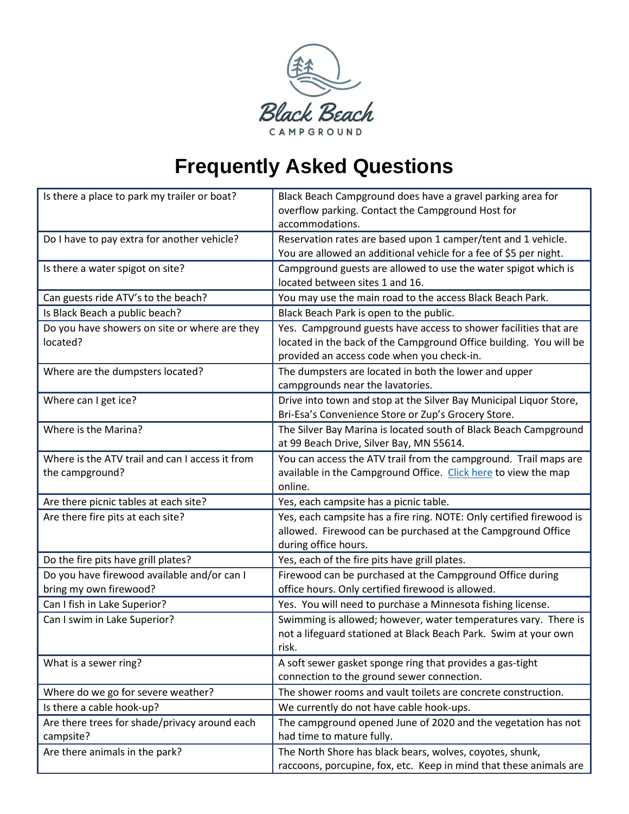

## **Frequently Asked Questions**

| Is there a place to park my trailer or boat?    | Black Beach Campground does have a gravel parking area for           |
|-------------------------------------------------|----------------------------------------------------------------------|
|                                                 | overflow parking. Contact the Campground Host for                    |
|                                                 | accommodations.                                                      |
| Do I have to pay extra for another vehicle?     | Reservation rates are based upon 1 camper/tent and 1 vehicle.        |
|                                                 | You are allowed an additional vehicle for a fee of \$5 per night.    |
| Is there a water spigot on site?                | Campground guests are allowed to use the water spigot which is       |
|                                                 | located between sites 1 and 16.                                      |
| Can guests ride ATV's to the beach?             | You may use the main road to the access Black Beach Park.            |
| Is Black Beach a public beach?                  | Black Beach Park is open to the public.                              |
| Do you have showers on site or where are they   | Yes. Campground guests have access to shower facilities that are     |
| located?                                        | located in the back of the Campground Office building. You will be   |
|                                                 | provided an access code when you check-in.                           |
| Where are the dumpsters located?                | The dumpsters are located in both the lower and upper                |
|                                                 | campgrounds near the lavatories.                                     |
| Where can I get ice?                            | Drive into town and stop at the Silver Bay Municipal Liquor Store,   |
|                                                 | Bri-Esa's Convenience Store or Zup's Grocery Store.                  |
| Where is the Marina?                            | The Silver Bay Marina is located south of Black Beach Campground     |
|                                                 | at 99 Beach Drive, Silver Bay, MN 55614.                             |
| Where is the ATV trail and can I access it from | You can access the ATV trail from the campground. Trail maps are     |
| the campground?                                 | available in the Campground Office. Click here to view the map       |
|                                                 | online.                                                              |
| Are there picnic tables at each site?           | Yes, each campsite has a picnic table.                               |
| Are there fire pits at each site?               | Yes, each campsite has a fire ring. NOTE: Only certified firewood is |
|                                                 | allowed. Firewood can be purchased at the Campground Office          |
|                                                 | during office hours.                                                 |
| Do the fire pits have grill plates?             | Yes, each of the fire pits have grill plates.                        |
| Do you have firewood available and/or can I     | Firewood can be purchased at the Campground Office during            |
| bring my own firewood?                          | office hours. Only certified firewood is allowed.                    |
| Can I fish in Lake Superior?                    | Yes. You will need to purchase a Minnesota fishing license.          |
| Can I swim in Lake Superior?                    | Swimming is allowed; however, water temperatures vary. There is      |
|                                                 | not a lifeguard stationed at Black Beach Park. Swim at your own      |
|                                                 | risk.                                                                |
| What is a sewer ring?                           | A soft sewer gasket sponge ring that provides a gas-tight            |
|                                                 | connection to the ground sewer connection.                           |
| Where do we go for severe weather?              | The shower rooms and vault toilets are concrete construction.        |
| Is there a cable hook-up?                       | We currently do not have cable hook-ups.                             |
| Are there trees for shade/privacy around each   | The campground opened June of 2020 and the vegetation has not        |
| campsite?                                       | had time to mature fully.                                            |
| Are there animals in the park?                  | The North Shore has black bears, wolves, coyotes, shunk,             |
|                                                 | raccoons, porcupine, fox, etc. Keep in mind that these animals are   |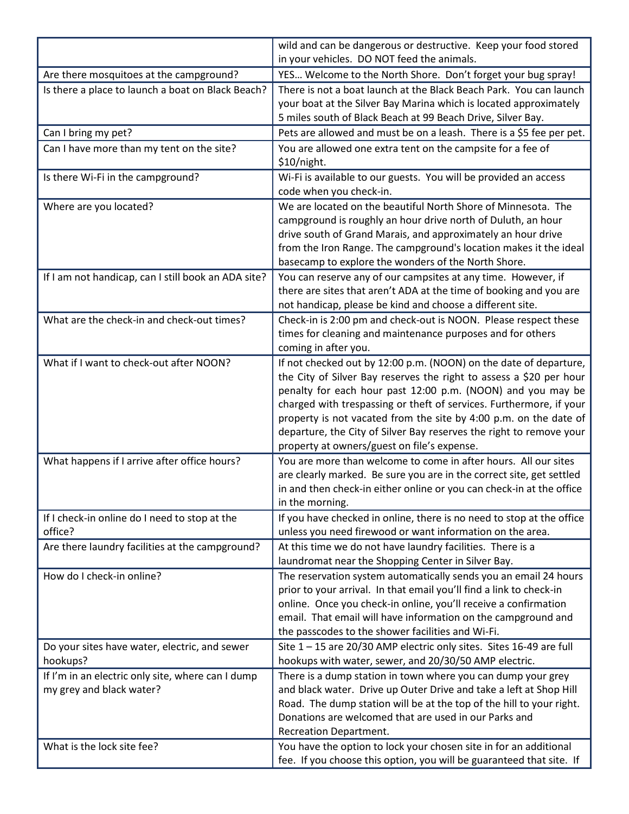|                                                     | wild and can be dangerous or destructive. Keep your food stored<br>in your vehicles. DO NOT feed the animals. |
|-----------------------------------------------------|---------------------------------------------------------------------------------------------------------------|
| Are there mosquitoes at the campground?             | YES Welcome to the North Shore. Don't forget your bug spray!                                                  |
| Is there a place to launch a boat on Black Beach?   | There is not a boat launch at the Black Beach Park. You can launch                                            |
|                                                     | your boat at the Silver Bay Marina which is located approximately                                             |
|                                                     | 5 miles south of Black Beach at 99 Beach Drive, Silver Bay.                                                   |
| Can I bring my pet?                                 | Pets are allowed and must be on a leash. There is a \$5 fee per pet.                                          |
| Can I have more than my tent on the site?           | You are allowed one extra tent on the campsite for a fee of                                                   |
|                                                     | \$10/night.                                                                                                   |
| Is there Wi-Fi in the campground?                   | Wi-Fi is available to our guests. You will be provided an access                                              |
|                                                     | code when you check-in.                                                                                       |
| Where are you located?                              | We are located on the beautiful North Shore of Minnesota. The                                                 |
|                                                     | campground is roughly an hour drive north of Duluth, an hour                                                  |
|                                                     | drive south of Grand Marais, and approximately an hour drive                                                  |
|                                                     | from the Iron Range. The campground's location makes it the ideal                                             |
|                                                     | basecamp to explore the wonders of the North Shore.                                                           |
| If I am not handicap, can I still book an ADA site? | You can reserve any of our campsites at any time. However, if                                                 |
|                                                     | there are sites that aren't ADA at the time of booking and you are                                            |
|                                                     | not handicap, please be kind and choose a different site.                                                     |
| What are the check-in and check-out times?          | Check-in is 2:00 pm and check-out is NOON. Please respect these                                               |
|                                                     | times for cleaning and maintenance purposes and for others                                                    |
|                                                     | coming in after you.                                                                                          |
| What if I want to check-out after NOON?             | If not checked out by 12:00 p.m. (NOON) on the date of departure,                                             |
|                                                     | the City of Silver Bay reserves the right to assess a \$20 per hour                                           |
|                                                     | penalty for each hour past 12:00 p.m. (NOON) and you may be                                                   |
|                                                     | charged with trespassing or theft of services. Furthermore, if your                                           |
|                                                     | property is not vacated from the site by 4:00 p.m. on the date of                                             |
|                                                     | departure, the City of Silver Bay reserves the right to remove your                                           |
|                                                     | property at owners/guest on file's expense.                                                                   |
| What happens if I arrive after office hours?        | You are more than welcome to come in after hours. All our sites                                               |
|                                                     | are clearly marked. Be sure you are in the correct site, get settled                                          |
|                                                     | in and then check-in either online or you can check-in at the office<br>in the morning.                       |
| If I check-in online do I need to stop at the       | If you have checked in online, there is no need to stop at the office                                         |
| office?                                             | unless you need firewood or want information on the area.                                                     |
| Are there laundry facilities at the campground?     | At this time we do not have laundry facilities. There is a                                                    |
|                                                     | laundromat near the Shopping Center in Silver Bay.                                                            |
| How do I check-in online?                           | The reservation system automatically sends you an email 24 hours                                              |
|                                                     | prior to your arrival. In that email you'll find a link to check-in                                           |
|                                                     | online. Once you check-in online, you'll receive a confirmation                                               |
|                                                     | email. That email will have information on the campground and                                                 |
|                                                     | the passcodes to the shower facilities and Wi-Fi.                                                             |
| Do your sites have water, electric, and sewer       | Site $1 - 15$ are 20/30 AMP electric only sites. Sites 16-49 are full                                         |
| hookups?                                            | hookups with water, sewer, and 20/30/50 AMP electric.                                                         |
| If I'm in an electric only site, where can I dump   | There is a dump station in town where you can dump your grey                                                  |
| my grey and black water?                            | and black water. Drive up Outer Drive and take a left at Shop Hill                                            |
|                                                     | Road. The dump station will be at the top of the hill to your right.                                          |
|                                                     | Donations are welcomed that are used in our Parks and                                                         |
|                                                     | <b>Recreation Department.</b>                                                                                 |
| What is the lock site fee?                          | You have the option to lock your chosen site in for an additional                                             |
|                                                     | fee. If you choose this option, you will be guaranteed that site. If                                          |